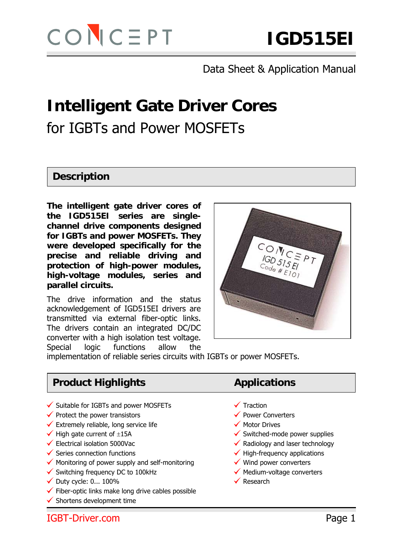# **Intelligent Gate Driver Cores**  for IGBTs and Power MOSFETs

#### **Description**

**The intelligent gate driver cores of the IGD515EI series are singlechannel drive components designed for IGBTs and power MOSFETs. They were developed specifically for the precise and reliable driving and protection of high-power modules, high-voltage modules, series and parallel circuits.** 

The drive information and the status acknowledgement of IGD515EI drivers are transmitted via external fiber-optic links. The drivers contain an integrated DC/DC converter with a high isolation test voltage. Special logic functions allow the



implementation of reliable series circuits with IGBTs or power MOSFETs.

# **Product Highlights Applications**

- $\checkmark$  Suitable for IGBTs and power MOSFETs  $\checkmark$  Traction
- $\checkmark$  Protect the power transistors  $\checkmark$  Power Converters
- $\checkmark$  Extremely reliable, long service life  $\checkmark$  Motor Drives
- 
- 
- 
- $\checkmark$  Monitoring of power supply and self-monitoring  $\checkmark$  Wind power converters ▼ Monitoring of power supply and self-monitoring → Wind power converters<br>→ Switching frequency DC to 100kHz → Medium-voltage converters
- [ Duty cycle: 0... 100% [ Research
- 
- $\checkmark$  Duty cycle: 0... 100%<br> $\checkmark$  Fiber-optic links make long drive cables possible
- $\checkmark$  Shortens development time

- 
- 
- 
- $\checkmark$  High gate current of  $\pm 15A$   $\checkmark$  Switched-mode power supplies
- $\checkmark$  Electrical isolation 5000Vac  $\checkmark$  Radiology and laser technology
- $\checkmark$  Series connection functions  $\checkmark$  High-frequency applications
	-
	-
	-

IGBT-Driver.com Page 1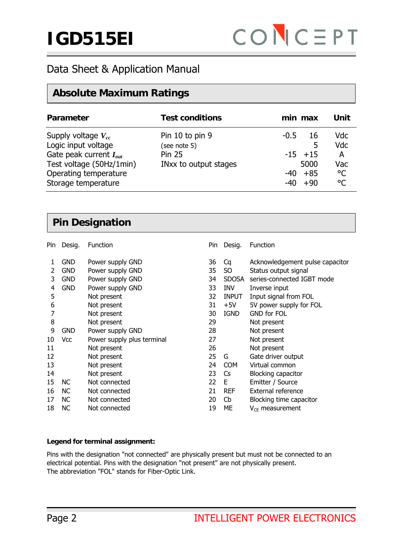### **Absolute Maximum Ratings**

| Parameter                                                                                                                                                 | <b>Test conditions</b>                                                    |                 | min max                                             | Unit                                                          |
|-----------------------------------------------------------------------------------------------------------------------------------------------------------|---------------------------------------------------------------------------|-----------------|-----------------------------------------------------|---------------------------------------------------------------|
| Supply voltage $V_{cc}$<br>Logic input voltage<br>Gate peak current $I_{out}$<br>Test voltage (50Hz/1min)<br>Operating temperature<br>Storage temperature | Pin 10 to pin 9<br>(see note 5)<br><b>Pin 25</b><br>INxx to output stages | $-0.5$<br>$-40$ | 16<br>5<br>$-15$ +15<br>5000<br>$-40 + 85$<br>$+90$ | <b>Vdc</b><br><b>Vdc</b><br>A<br>Vac<br>$\rm ^{\circ}C$<br>°C |

#### **Pin Designation**

| Pin | Desig.     | Function                   | Pin | Desig.         | Function                        |
|-----|------------|----------------------------|-----|----------------|---------------------------------|
| 1   | <b>GND</b> | Power supply GND           | 36  | Cq             | Acknowledgement pulse capacitor |
| 2   | <b>GND</b> | Power supply GND           | 35  | S <sub>O</sub> | Status output signal            |
| 3   | <b>GND</b> | Power supply GND           | 34  | <b>SDOSA</b>   | series-connected IGBT mode      |
| 4   | <b>GND</b> | Power supply GND           | 33  | INV            | Inverse input                   |
| 5   |            | Not present                | 32  | <b>INPUT</b>   | Input signal from FOL           |
| 6   |            | Not present                | 31  | $+5V$          | 5V power supply for FOL         |
| 7   |            | Not present                | 30  | <b>IGND</b>    | <b>GND for FOL</b>              |
| 8   |            | Not present                | 29  |                | Not present                     |
| 9   | <b>GND</b> | Power supply GND           | 28  |                | Not present                     |
| 10  | Vcc        | Power supply plus terminal | 27  |                | Not present                     |
| 11  |            | Not present                | 26  |                | Not present                     |
| 12  |            | Not present                | 25  | G              | Gate driver output              |
| 13  |            | Not present                | 24  | <b>COM</b>     | Virtual common                  |
| 14  |            | Not present                | 23  | Cs.            | Blocking capacitor              |
| 15  | NC.        | Not connected              | 22  | E              | Emitter / Source                |
| 16  | NC.        | Not connected              | 21  | <b>REF</b>     | External reference              |
| 17  | <b>NC</b>  | Not connected              | 20  | Cb             | Blocking time capacitor         |
| 18  | <b>NC</b>  | Not connected              | 19  | MЕ             | $V_{CE}$ measurement            |

#### **Legend for terminal assignment:**

Pins with the designation "not connected" are physically present but must not be connected to an electrical potential. Pins with the designation "not present" are not physically present. The abbreviation "FOL" stands for Fiber-Optic Link.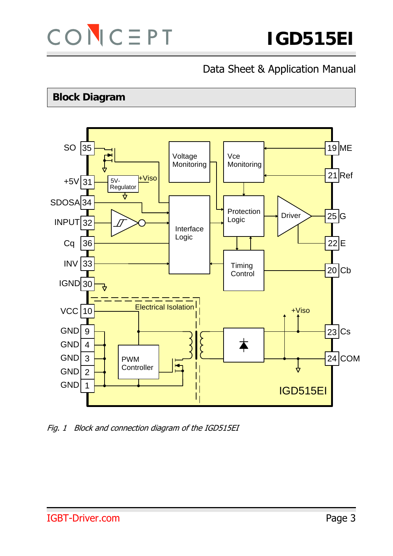

# **Block Diagram**



Fig. 1 Block and connection diagram of the IGD515EI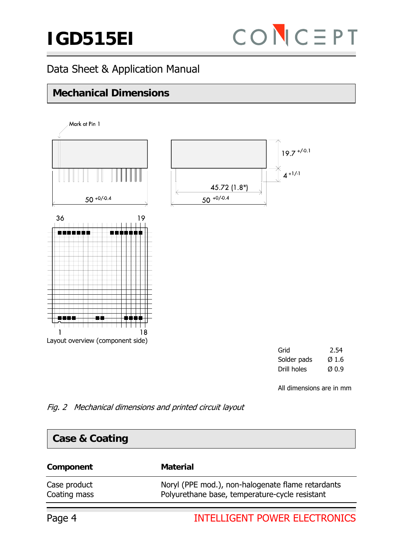# **IGD515EI**



# Data Sheet & Application Manual

# **Mechanical Dimensions**



Solder pads  $\emptyset$  1.6  $\rho$  Drill holes  $\varnothing$  0.9

All dimensions are in mm

Fig. 2 Mechanical dimensions and printed circuit layout

| <b>Case &amp; Coating</b>    |                                                                                                     |
|------------------------------|-----------------------------------------------------------------------------------------------------|
| Component                    | <b>Material</b>                                                                                     |
| Case product<br>Coating mass | Noryl (PPE mod.), non-halogenate flame retardants<br>Polyurethane base, temperature-cycle resistant |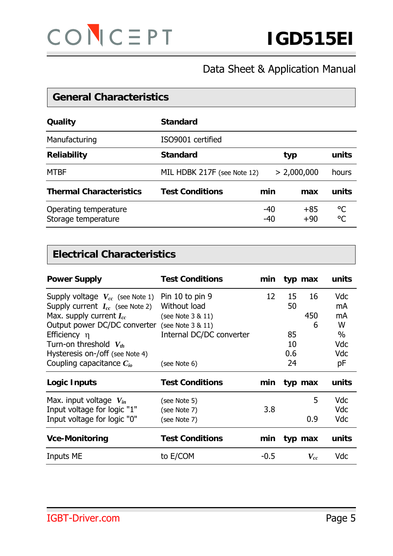

**General Characteristics** 

# Data Sheet & Application Manual

| OCHUL VIIGI GULU IJUUJ                       |                             |            |                |          |  |  |
|----------------------------------------------|-----------------------------|------------|----------------|----------|--|--|
| Quality                                      | <b>Standard</b>             |            |                |          |  |  |
| Manufacturing                                | ISO9001 certified           |            |                |          |  |  |
| <b>Reliability</b>                           | <b>Standard</b>             |            | typ            |          |  |  |
| <b>MTBF</b>                                  | MIL HDBK 217F (see Note 12) |            | > 2,000,000    | hours    |  |  |
| <b>Thermal Characteristics</b>               | <b>Test Conditions</b>      | min        | max            | units    |  |  |
| Operating temperature<br>Storage temperature |                             | -40<br>-40 | $+85$<br>$+90$ | °C<br>°C |  |  |

#### **Electrical Characteristics**

| <b>Power Supply</b>                  | <b>Test Conditions</b>   | min    |     | typ max  | units      |
|--------------------------------------|--------------------------|--------|-----|----------|------------|
| Supply voltage $V_{cc}$ (see Note 1) | Pin 10 to pin 9          | 12     | 15  | 16       | <b>Vdc</b> |
| Supply current $I_{cc}$ (see Note 2) | Without load             |        | 50  |          | mA         |
| Max. supply current $I_{cc}$         | (see Note 3 & 11)        |        |     | 450      | mA         |
| Output power DC/DC converter         | (see Note 3 & 11)        |        |     | 6        | W          |
| Efficiency $\eta$                    | Internal DC/DC converter |        | 85  |          | $\%$       |
| Turn-on threshold $V_{th}$           |                          |        | 10  |          | Vdc        |
| Hysteresis on-/off (see Note 4)      |                          |        | 0.6 |          | Vdc        |
| Coupling capacitance $C_{io}$        | (see Note 6)             |        | 24  |          | рF         |
| Logic Inputs                         | <b>Test Conditions</b>   | min    |     | typ max  | units      |
| Max. input voltage $V_{in}$          | (see Note 5)             |        |     | 5        | <b>Vdc</b> |
| Input voltage for logic "1"          | (see Note 7)             | 3.8    |     |          | Vdc        |
| Input voltage for logic "0"          | (see Note 7)             |        |     | 0.9      | <b>Vdc</b> |
| <b>Vce-Monitoring</b>                | <b>Test Conditions</b>   | min    |     | typ max  | units      |
| <b>Inputs ME</b>                     | to E/COM                 | $-0.5$ |     | $V_{cc}$ | Vdc        |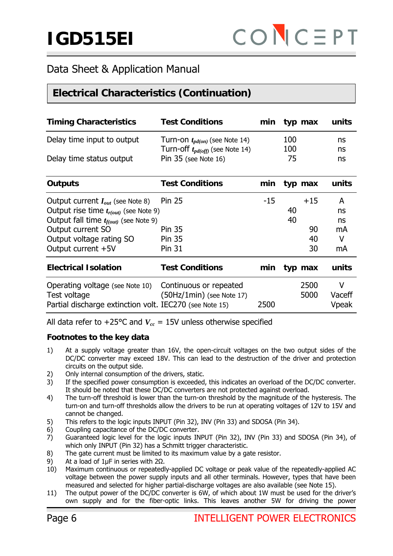# **Electrical Characteristics (Continuation)**

| <b>Timing Characteristics</b>                                                                              | <b>Test Conditions</b>                                | min   |     | typ max      | units                |
|------------------------------------------------------------------------------------------------------------|-------------------------------------------------------|-------|-----|--------------|----------------------|
| Delay time input to output                                                                                 | Turn-on $t_{pd(on)}$ (see Note 14)                    |       | 100 |              | ns                   |
|                                                                                                            | Turn-off $t_{pd(off)}$ (see Note 14)                  |       | 100 |              | ns                   |
| Delay time status output                                                                                   | Pin $35$ (see Note 16)                                |       | 75  |              | ns                   |
| <b>Outputs</b>                                                                                             | <b>Test Conditions</b>                                | min   |     | typ max      | units                |
| Output current $I_{out}$ (see Note 8)                                                                      | <b>Pin 25</b>                                         | $-15$ |     | $+15$        | A                    |
| Output rise time $t_{r(out)}$ (see Note 9)                                                                 |                                                       |       | 40  |              | ns                   |
| Output fall time $t_{f(out)}$ (see Note 9)                                                                 |                                                       |       | 40  |              | ns                   |
| Output current SO                                                                                          | <b>Pin 35</b>                                         |       |     | 90           | mA                   |
| Output voltage rating SO                                                                                   | <b>Pin 35</b>                                         |       |     | 40           | V                    |
| Output current +5V                                                                                         | <b>Pin 31</b>                                         |       |     | 30           | mA                   |
| <b>Electrical Isolation</b>                                                                                | <b>Test Conditions</b>                                | min   |     | typ max      | units                |
| Operating voltage (see Note 10)<br>Test voltage<br>Partial discharge extinction volt. IEC270 (see Note 15) | Continuous or repeated<br>$(50Hz/1min)$ (see Note 17) | 2500  |     | 2500<br>5000 | v<br>Vaceff<br>Vpeak |

All data refer to  $+25^{\circ}$ C and  $V_{cc} = 15V$  unless otherwise specified

#### **Footnotes to the key data**

- 1) At a supply voltage greater than 16V, the open-circuit voltages on the two output sides of the DC/DC converter may exceed 18V. This can lead to the destruction of the driver and protection circuits on the output side.
- 2) Only internal consumption of the drivers, static.
- 3) If the specified power consumption is exceeded, this indicates an overload of the DC/DC converter. It should be noted that these DC/DC converters are not protected against overload.
- 4) The turn-off threshold is lower than the turn-on threshold by the magnitude of the hysteresis. The turn-on and turn-off thresholds allow the drivers to be run at operating voltages of 12V to 15V and cannot be changed.
- 5) This refers to the logic inputs INPUT (Pin 32), INV (Pin 33) and SDOSA (Pin 34).
- 6) Coupling capacitance of the DC/DC converter.
- 7) Guaranteed logic level for the logic inputs INPUT (Pin 32), INV (Pin 33) and SDOSA (Pin 34), of which only INPUT (Pin 32) has a Schmitt trigger characteristic.
- 8) The gate current must be limited to its maximum value by a gate resistor.
- 9) At a load of 1µF in series with 2Ω.
- 10) Maximum continuous or repeatedly-applied DC voltage or peak value of the repeatedly-applied AC voltage between the power supply inputs and all other terminals. However, types that have been measured and selected for higher partial-discharge voltages are also available (see Note 15).
- 11) The output power of the DC/DC converter is 6W, of which about 1W must be used for the driver's own supply and for the fiber-optic links. This leaves another 5W for driving the power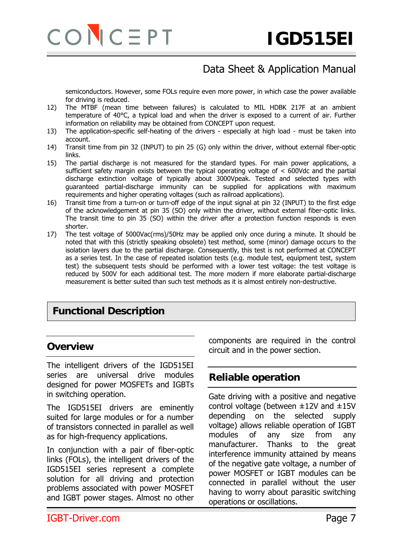

semiconductors. However, some FOLs require even more power, in which case the power available for driving is reduced.

- 12) The MTBF (mean time between failures) is calculated to MIL HDBK 217F at an ambient temperature of 40°C, a typical load and when the driver is exposed to a current of air. Further information on reliability may be obtained from CONCEPT upon request.
- 13) The application-specific self-heating of the drivers especially at high load must be taken into account.
- 14) Transit time from pin 32 (INPUT) to pin 25 (G) only within the driver, without external fiber-optic links.
- 15) The partial discharge is not measured for the standard types. For main power applications, a sufficient safety margin exists between the typical operating voltage of < 600Vdc and the partial discharge extinction voltage of typically about 3000Vpeak. Tested and selected types with guaranteed partial-discharge immunity can be supplied for applications with maximum requirements and higher operating voltages (such as railroad applications).
- 16) Transit time from a turn-on or turn-off edge of the input signal at pin 32 (INPUT) to the first edge of the acknowledgement at pin 35 (SO) only within the driver, without external fiber-optic links. The transit time to pin 35 (SO) within the driver after a protection function responds is even shorter.
- 17) The test voltage of 5000Vac(rms)/50Hz may be applied only once during a minute. It should be noted that with this (strictly speaking obsolete) test method, some (minor) damage occurs to the isolation layers due to the partial discharge. Consequently, this test is not performed at CONCEPT as a series test. In the case of repeated isolation tests (e.g. module test, equipment test, system test) the subsequent tests should be performed with a lower test voltage: the test voltage is reduced by 500V for each additional test. The more modern if more elaborate partial-discharge measurement is better suited than such test methods as it is almost entirely non-destructive.

#### **Functional Description**

#### **Overview**

The intelligent drivers of the IGD515EI series are universal drive modules designed for power MOSFETs and IGBTs in switching operation.

The IGD515EI drivers are eminently suited for large modules or for a number of transistors connected in parallel as well as for high-frequency applications.

In conjunction with a pair of fiber-optic links (FOLs), the intelligent drivers of the IGD515EI series represent a complete solution for all driving and protection problems associated with power MOSFET and IGBT power stages. Almost no other components are required in the control circuit and in the power section.

#### **Reliable operation**

Gate driving with a positive and negative control voltage (between ±12V and ±15V depending on the selected supply voltage) allows reliable operation of IGBT modules of any size from any manufacturer. Thanks to the great interference immunity attained by means of the negative gate voltage, a number of power MOSFET or IGBT modules can be connected in parallel without the user having to worry about parasitic switching operations or oscillations.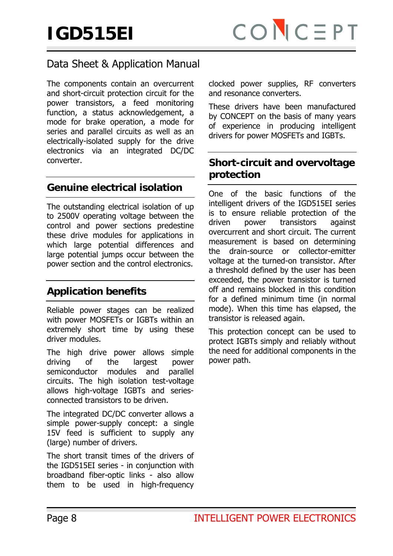The components contain an overcurrent and short-circuit protection circuit for the power transistors, a feed monitoring function, a status acknowledgement, a mode for brake operation, a mode for series and parallel circuits as well as an electrically-isolated supply for the drive electronics via an integrated DC/DC converter.

#### **Genuine electrical isolation**

The outstanding electrical isolation of up to 2500V operating voltage between the control and power sections predestine these drive modules for applications in which large potential differences and large potential jumps occur between the power section and the control electronics.

# **Application benefits**

Reliable power stages can be realized with power MOSFETs or IGBTs within an extremely short time by using these driver modules.

The high drive power allows simple driving of the largest power semiconductor modules and parallel circuits. The high isolation test-voltage allows high-voltage IGBTs and seriesconnected transistors to be driven.

The integrated DC/DC converter allows a simple power-supply concept: a single 15V feed is sufficient to supply any (large) number of drivers.

The short transit times of the drivers of the IGD515EI series - in conjunction with broadband fiber-optic links - also allow them to be used in high-frequency

clocked power supplies, RF converters and resonance converters.

These drivers have been manufactured by CONCEPT on the basis of many years of experience in producing intelligent drivers for power MOSFETs and IGBTs.

#### **Short-circuit and overvoltage protection**

One of the basic functions of the intelligent drivers of the IGD515EI series is to ensure reliable protection of the driven power transistors against overcurrent and short circuit. The current measurement is based on determining the drain-source or collector-emitter voltage at the turned-on transistor. After a threshold defined by the user has been exceeded, the power transistor is turned off and remains blocked in this condition for a defined minimum time (in normal mode). When this time has elapsed, the transistor is released again.

This protection concept can be used to protect IGBTs simply and reliably without the need for additional components in the power path.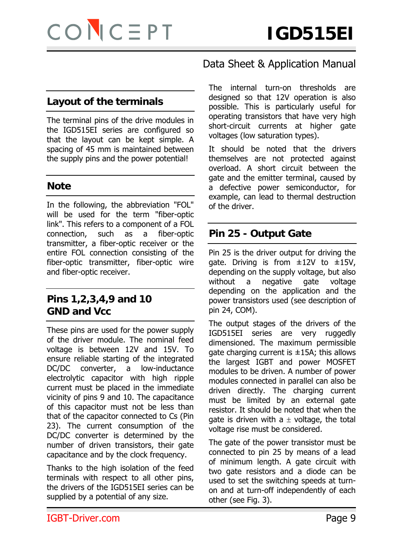#### **Layout of the terminals**

The terminal pins of the drive modules in the IGD515EI series are configured so that the layout can be kept simple. A spacing of 45 mm is maintained between the supply pins and the power potential!

#### **Note**

In the following, the abbreviation "FOL" will be used for the term "fiber-optic link". This refers to a component of a FOL connection, such as a fiber-optic transmitter, a fiber-optic receiver or the entire FOL connection consisting of the fiber-optic transmitter, fiber-optic wire and fiber-optic receiver.

#### **Pins 1,2,3,4,9 and 10 GND and Vcc**

These pins are used for the power supply of the driver module. The nominal feed voltage is between 12V and 15V. To ensure reliable starting of the integrated DC/DC converter, a low-inductance electrolytic capacitor with high ripple current must be placed in the immediate vicinity of pins 9 and 10. The capacitance of this capacitor must not be less than that of the capacitor connected to Cs (Pin 23). The current consumption of the DC/DC converter is determined by the number of driven transistors, their gate capacitance and by the clock frequency.

Thanks to the high isolation of the feed terminals with respect to all other pins, the drivers of the IGD515EI series can be supplied by a potential of any size.

### Data Sheet & Application Manual

The internal turn-on thresholds are designed so that 12V operation is also possible. This is particularly useful for operating transistors that have very high short-circuit currents at higher gate voltages (low saturation types).

It should be noted that the drivers themselves are not protected against overload. A short circuit between the gate and the emitter terminal, caused by a defective power semiconductor, for example, can lead to thermal destruction of the driver.

#### **Pin 25 - Output Gate**

Pin 25 is the driver output for driving the gate. Driving is from  $\pm 12V$  to  $\pm 15V$ , depending on the supply voltage, but also without a negative gate voltage depending on the application and the power transistors used (see description of pin 24, COM).

The output stages of the drivers of the IGD515EI series are very ruggedly dimensioned. The maximum permissible gate charging current is  $\pm$ 15A; this allows the largest IGBT and power MOSFET modules to be driven. A number of power modules connected in parallel can also be driven directly. The charging current must be limited by an external gate resistor. It should be noted that when the gate is driven with a  $\pm$  voltage, the total voltage rise must be considered.

The gate of the power transistor must be connected to pin 25 by means of a lead of minimum length. A gate circuit with two gate resistors and a diode can be used to set the switching speeds at turnon and at turn-off independently of each other (see Fig. 3).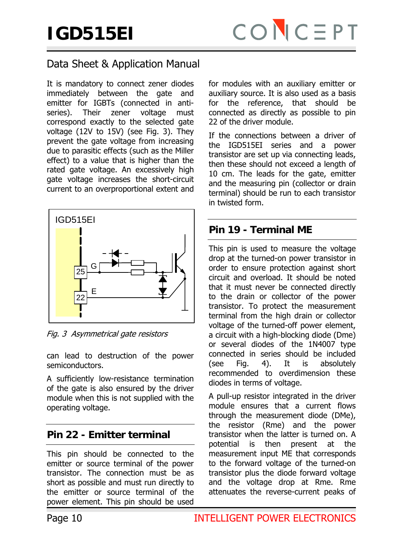It is mandatory to connect zener diodes immediately between the gate and emitter for IGBTs (connected in antiseries). Their zener voltage must correspond exactly to the selected gate voltage (12V to 15V) (see Fig. 3). They prevent the gate voltage from increasing due to parasitic effects (such as the Miller effect) to a value that is higher than the rated gate voltage. An excessively high gate voltage increases the short-circuit current to an overproportional extent and



Fig. 3 Asymmetrical gate resistors

can lead to destruction of the power semiconductors.

A sufficiently low-resistance termination of the gate is also ensured by the driver module when this is not supplied with the operating voltage.

#### **Pin 22 - Emitter terminal**

This pin should be connected to the emitter or source terminal of the power transistor. The connection must be as short as possible and must run directly to the emitter or source terminal of the power element. This pin should be used

for modules with an auxiliary emitter or auxiliary source. It is also used as a basis for the reference, that should be connected as directly as possible to pin 22 of the driver module.

If the connections between a driver of the IGD515EI series and a power transistor are set up via connecting leads, then these should not exceed a length of 10 cm. The leads for the gate, emitter and the measuring pin (collector or drain terminal) should be run to each transistor in twisted form.

#### **Pin 19 - Terminal ME**

This pin is used to measure the voltage drop at the turned-on power transistor in order to ensure protection against short circuit and overload. It should be noted that it must never be connected directly to the drain or collector of the power transistor. To protect the measurement terminal from the high drain or collector voltage of the turned-off power element, a circuit with a high-blocking diode (Dme) or several diodes of the 1N4007 type connected in series should be included (see Fig. 4). It is absolutely recommended to overdimension these diodes in terms of voltage.

A pull-up resistor integrated in the driver module ensures that a current flows through the measurement diode (DMe), the resistor (Rme) and the power transistor when the latter is turned on. A potential is then present at the measurement input ME that corresponds to the forward voltage of the turned-on transistor plus the diode forward voltage and the voltage drop at Rme. Rme attenuates the reverse-current peaks of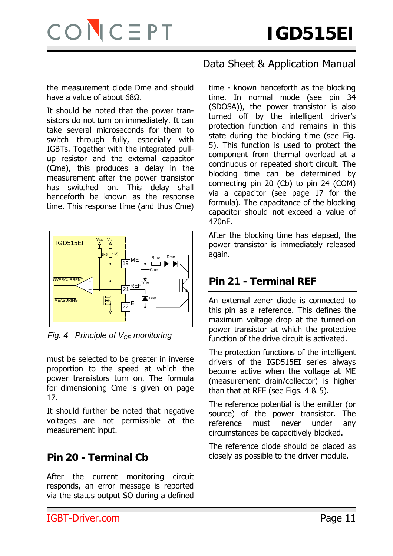

the measurement diode Dme and should have a value of about 68Ω.

It should be noted that the power transistors do not turn on immediately. It can take several microseconds for them to switch through fully, especially with IGBTs. Together with the integrated pullup resistor and the external capacitor (Cme), this produces a delay in the measurement after the power transistor has switched on. This delay shall henceforth be known as the response time. This response time (and thus Cme)



*Fig. 4 Principle of V<sub>CF</sub> monitoring* 

must be selected to be greater in inverse proportion to the speed at which the power transistors turn on. The formula for dimensioning Cme is given on page 17.

It should further be noted that negative voltages are not permissible at the measurement input.

#### **Pin 20 - Terminal Cb**

After the current monitoring circuit responds, an error message is reported via the status output SO during a defined

# Data Sheet & Application Manual

time - known henceforth as the blocking time. In normal mode (see pin 34 (SDOSA)), the power transistor is also turned off by the intelligent driver's protection function and remains in this state during the blocking time (see Fig. 5). This function is used to protect the component from thermal overload at a continuous or repeated short circuit. The blocking time can be determined by connecting pin 20 (Cb) to pin 24 (COM) via a capacitor (see page 17 for the formula). The capacitance of the blocking capacitor should not exceed a value of 470nF.

After the blocking time has elapsed, the power transistor is immediately released again.

#### **Pin 21 - Terminal REF**

An external zener diode is connected to this pin as a reference. This defines the maximum voltage drop at the turned-on power transistor at which the protective function of the drive circuit is activated.

The protection functions of the intelligent drivers of the IGD515EI series always become active when the voltage at ME (measurement drain/collector) is higher than that at REF (see Figs. 4 & 5).

The reference potential is the emitter (or source) of the power transistor. The reference must never under any circumstances be capacitively blocked.

The reference diode should be placed as closely as possible to the driver module.

IGBT-Driver.com Page 11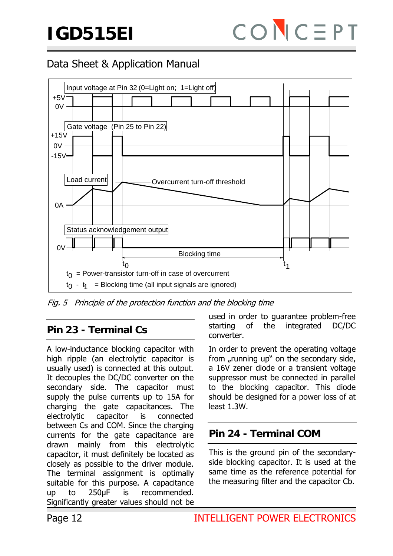

Fig. 5 Principle of the protection function and the blocking time

# **Pin 23 - Terminal Cs**

A low-inductance blocking capacitor with high ripple (an electrolytic capacitor is usually used) is connected at this output. It decouples the DC/DC converter on the secondary side. The capacitor must supply the pulse currents up to 15A for charging the gate capacitances. The electrolytic capacitor is connected between Cs and COM. Since the charging currents for the gate capacitance are drawn mainly from this electrolytic capacitor, it must definitely be located as closely as possible to the driver module. The terminal assignment is optimally suitable for this purpose. A capacitance up to 250μF is recommended. Significantly greater values should not be

used in order to guarantee problem-free starting of the integrated DC/DC converter.

In order to prevent the operating voltage from "running up" on the secondary side, a 16V zener diode or a transient voltage suppressor must be connected in parallel to the blocking capacitor. This diode should be designed for a power loss of at least 1.3W.

# **Pin 24 - Terminal COM**

This is the ground pin of the secondaryside blocking capacitor. It is used at the same time as the reference potential for the measuring filter and the capacitor Cb.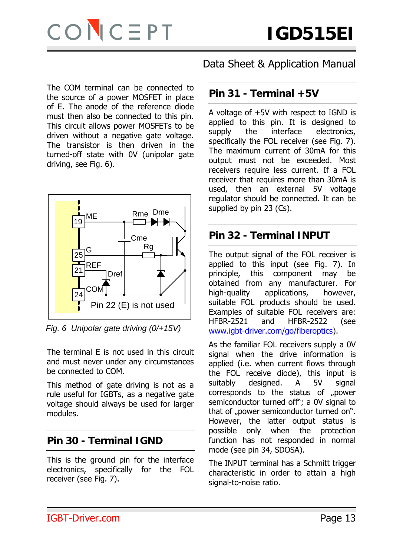

The COM terminal can be connected to the source of a power MOSFET in place of E. The anode of the reference diode must then also be connected to this pin. This circuit allows power MOSFETs to be driven without a negative gate voltage. The transistor is then driven in the turned-off state with 0V (unipolar gate driving, see Fig. 6).



*Fig. 6 Unipolar gate driving (0/+15V)* 

The terminal E is not used in this circuit and must never under any circumstances be connected to COM.

This method of gate driving is not as a rule useful for IGBTs, as a negative gate voltage should always be used for larger modules.

# **Pin 30 - Terminal IGND**

This is the ground pin for the interface electronics, specifically for the FOL receiver (see Fig. 7).

Data Sheet & Application Manual

### **Pin 31 - Terminal +5V**

A voltage of +5V with respect to IGND is applied to this pin. It is designed to supply the interface electronics, specifically the FOL receiver (see Fig. 7). The maximum current of 30mA for this output must not be exceeded. Most receivers require less current. If a FOL receiver that requires more than 30mA is used, then an external 5V voltage regulator should be connected. It can be supplied by pin 23 (Cs).

# **Pin 32 - Terminal INPUT**

The output signal of the FOL receiver is applied to this input (see Fig. 7). In principle, this component may be obtained from any manufacturer. For high-quality applications, however, suitable FOL products should be used. Examples of suitable FOL receivers are: HFBR-2521 and HFBR-2522 (see www.igbt-driver.com/go/fiberoptics).

As the familiar FOL receivers supply a 0V signal when the drive information is applied (i.e. when current flows through the FOL receive diode), this input is suitably designed. A 5V signal corresponds to the status of "power semiconductor turned off"; a 0V signal to that of "power semiconductor turned on". However, the latter output status is possible only when the protection function has not responded in normal mode (see pin 34, SDOSA).

The INPUT terminal has a Schmitt trigger characteristic in order to attain a high signal-to-noise ratio.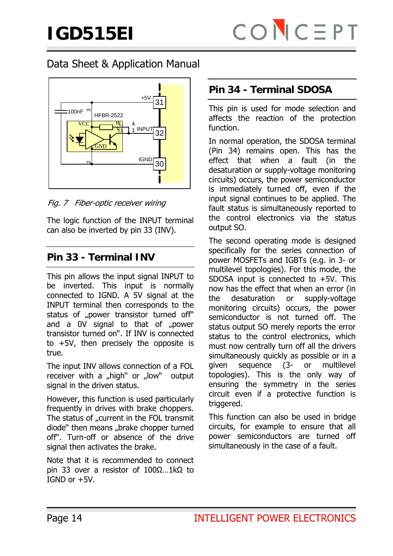

Fig. 7 Fiber-optic receiver wiring

The logic function of the INPUT terminal can also be inverted by pin 33 (INV).

# **Pin 33 - Terminal INV**

This pin allows the input signal INPUT to be inverted. This input is normally connected to IGND. A 5V signal at the INPUT terminal then corresponds to the status of "power transistor turned off" and a 0V signal to that of "power transistor turned on". If INV is connected to +5V, then precisely the opposite is true.

The input INV allows connection of a FOL receiver with a "high" or "low" output signal in the driven status.

However, this function is used particularly frequently in drives with brake choppers. The status of "current in the FOL transmit diode" then means "brake chopper turned off". Turn-off or absence of the drive signal then activates the brake.

Note that it is recommended to connect pin 33 over a resistor of 100Ω…1kΩ to IGND or +5V.

### **Pin 34 - Terminal SDOSA**

This pin is used for mode selection and affects the reaction of the protection function.

In normal operation, the SDOSA terminal (Pin 34) remains open. This has the effect that when a fault (in the desaturation or supply-voltage monitoring circuits) occurs, the power semiconductor is immediately turned off, even if the input signal continues to be applied. The fault status is simultaneously reported to the control electronics via the status output SO.

The second operating mode is designed specifically for the series connection of power MOSFETs and IGBTs (e.g. in 3- or multilevel topologies). For this mode, the SDOSA input is connected to  $+5V$ . This now has the effect that when an error (in the desaturation or supply-voltage monitoring circuits) occurs, the power semiconductor is not turned off. The status output SO merely reports the error status to the control electronics, which must now centrally turn off all the drivers simultaneously quickly as possible or in a given sequence (3- or multilevel topologies). This is the only way of ensuring the symmetry in the series circuit even if a protective function is triggered.

This function can also be used in bridge circuits, for example to ensure that all power semiconductors are turned off simultaneously in the case of a fault.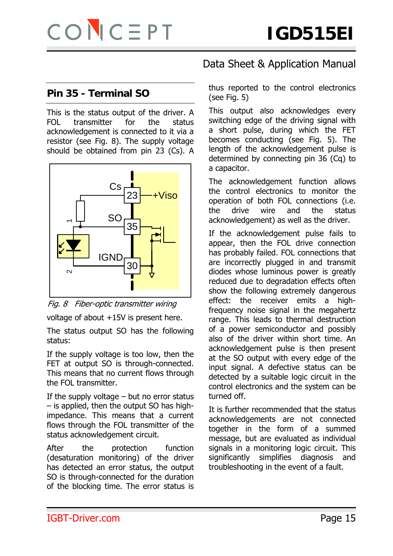#### **Pin 35 - Terminal SO**

This is the status output of the driver. A FOL transmitter for the status acknowledgement is connected to it via a resistor (see Fig. 8). The supply voltage should be obtained from pin 23 (Cs). A



Fig. 8 Fiber-optic transmitter wiring

voltage of about +15V is present here.

The status output SO has the following status:

If the supply voltage is too low, then the FET at output SO is through-connected. This means that no current flows through the FOL transmitter.

If the supply voltage  $-$  but no error status – is applied, then the output SO has highimpedance. This means that a current flows through the FOL transmitter of the status acknowledgement circuit.

After the protection function (desaturation monitoring) of the driver has detected an error status, the output SO is through-connected for the duration of the blocking time. The error status is

# Data Sheet & Application Manual

thus reported to the control electronics (see Fig. 5)

This output also acknowledges every switching edge of the driving signal with a short pulse, during which the FET becomes conducting (see Fig. 5). The length of the acknowledgement pulse is determined by connecting pin 36 (Cq) to a capacitor.

The acknowledgement function allows the control electronics to monitor the operation of both FOL connections (i.e. the drive wire and the status acknowledgement) as well as the driver.

If the acknowledgement pulse fails to appear, then the FOL drive connection has probably failed. FOL connections that are incorrectly plugged in and transmit diodes whose luminous power is greatly reduced due to degradation effects often show the following extremely dangerous effect: the receiver emits a highfrequency noise signal in the megahertz range. This leads to thermal destruction of a power semiconductor and possibly also of the driver within short time. An acknowledgement pulse is then present at the SO output with every edge of the input signal. A defective status can be detected by a suitable logic circuit in the control electronics and the system can be turned off.

It is further recommended that the status acknowledgements are not connected together in the form of a summed message, but are evaluated as individual signals in a monitoring logic circuit. This significantly simplifies diagnosis and troubleshooting in the event of a fault.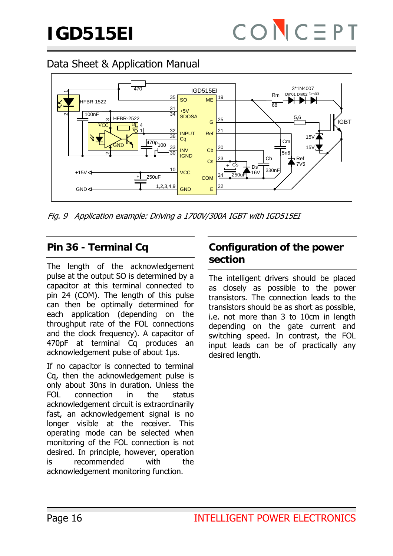

Fig. 9 Application example: Driving a 1700V/300A IGBT with IGD515EI

### **Pin 36 - Terminal Cq**

The length of the acknowledgement pulse at the output SO is determined by a capacitor at this terminal connected to pin 24 (COM). The length of this pulse can then be optimally determined for each application (depending on the throughput rate of the FOL connections and the clock frequency). A capacitor of 470pF at terminal Cq produces an acknowledgement pulse of about 1µs.

If no capacitor is connected to terminal Cq, then the acknowledgement pulse is only about 30ns in duration. Unless the FOL connection in the status acknowledgement circuit is extraordinarily fast, an acknowledgement signal is no longer visible at the receiver. This operating mode can be selected when monitoring of the FOL connection is not desired. In principle, however, operation is recommended with the acknowledgement monitoring function.

#### **Configuration of the power section**

The intelligent drivers should be placed as closely as possible to the power transistors. The connection leads to the transistors should be as short as possible, i.e. not more than 3 to 10cm in length depending on the gate current and switching speed. In contrast, the FOL input leads can be of practically any desired length.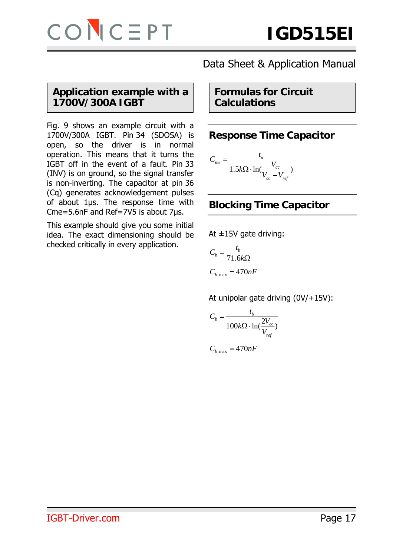#### **Application example with a 1700V/300A IGBT**

Fig. 9 shows an example circuit with a 1700V/300A IGBT. Pin 34 (SDOSA) is open, so the driver is in normal operation. This means that it turns the IGBT off in the event of a fault. Pin 33 (INV) is on ground, so the signal transfer is non-inverting. The capacitor at pin 36 (Cq) generates acknowledgement pulses of about 1µs. The response time with Cme=5.6nF and Ref=7V5 is about 7µs.

This example should give you some initial idea. The exact dimensioning should be checked critically in every application.

# Data Sheet & Application Manual

**Formulas for Circuit Calculations** 

#### **Response Time Capacitor**

$$
C_{me} = \frac{t_a}{1.5k\Omega \cdot \ln(\frac{V_{cc}}{V_{cc} - V_{ref}})}
$$

# **Blocking Time Capacitor**

At ±15V gate driving:

$$
C_b = \frac{t_b}{71.6k\Omega}
$$

$$
C_{b, \text{max}} = 470nF
$$

At unipolar gate driving (0V/+15V):

$$
C_b = \frac{t_b}{100k\Omega \cdot \ln(\frac{2V_{cc}}{V_{ref}})}
$$

 $C_{b, \text{max}} = 470nF$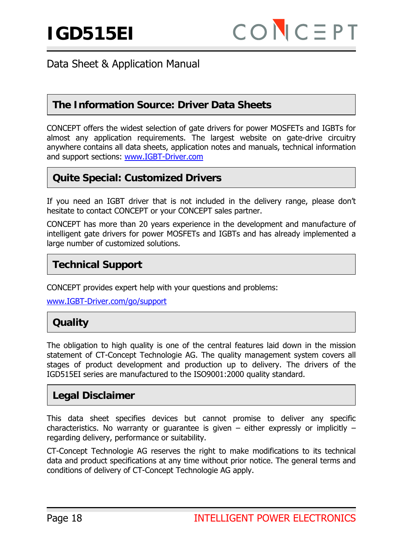#### **The Information Source: Driver Data Sheets**

CONCEPT offers the widest selection of gate drivers for power MOSFETs and IGBTs for almost any application requirements. The largest website on gate-drive circuitry anywhere contains all data sheets, application notes and manuals, technical information and support sections: www.IGBT-Driver.com

#### **Quite Special: Customized Drivers**

If you need an IGBT driver that is not included in the delivery range, please don't hesitate to contact CONCEPT or your CONCEPT sales partner.

CONCEPT has more than 20 years experience in the development and manufacture of intelligent gate drivers for power MOSFETs and IGBTs and has already implemented a large number of customized solutions.

# **Technical Support**

CONCEPT provides expert help with your questions and problems:

www.IGBT-Driver.com/go/support

# **Quality**

The obligation to high quality is one of the central features laid down in the mission statement of CT-Concept Technologie AG. The quality management system covers all stages of product development and production up to delivery. The drivers of the IGD515EI series are manufactured to the ISO9001:2000 quality standard.

#### **Legal Disclaimer**

This data sheet specifies devices but cannot promise to deliver any specific characteristics. No warranty or guarantee is given  $-$  either expressly or implicitly  $$ regarding delivery, performance or suitability.

CT-Concept Technologie AG reserves the right to make modifications to its technical data and product specifications at any time without prior notice. The general terms and conditions of delivery of CT-Concept Technologie AG apply.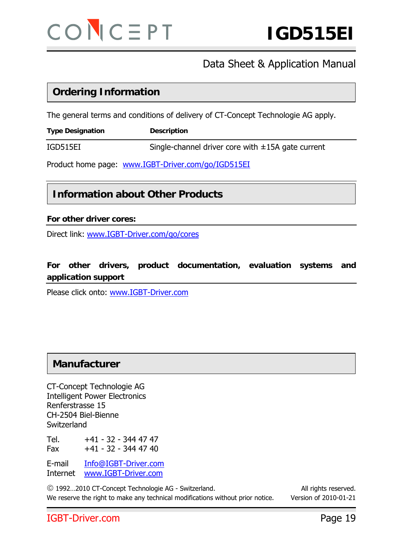

#### **Ordering Information**

The general terms and conditions of delivery of CT-Concept Technologie AG apply.

**Type Designation**  Description

IGD515EI Single-channel driver core with  $\pm$ 15A gate current

Product home page: www.IGBT-Driver.com/go/IGD515EI

#### **Information about Other Products**

#### **For other driver cores:**

Direct link: www.IGBT-Driver.com/go/cores

#### **For other drivers, product documentation, evaluation systems and application support**

Please click onto: www.IGBT-Driver.com

#### **Manufacturer**

CT-Concept Technologie AG Intelligent Power Electronics Renferstrasse 15 CH-2504 Biel-Bienne **Switzerland** 

Tel. +41 - 32 - 344 47 47 Fax +41 - 32 - 344 47 40

E-mail Info@IGBT-Driver.com Internet www.IGBT-Driver.com

© 1992…2010 CT-Concept Technologie AG - Switzerland. All rights reserved. We reserve the right to make any technical modifications without prior notice. Version of 2010-01-21

#### IGBT-Driver.com Page 19